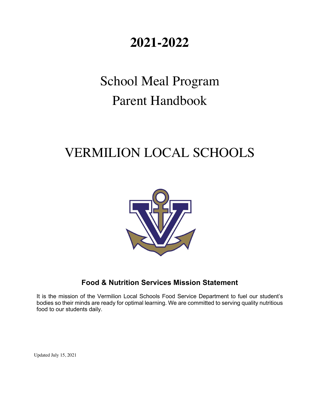## **2021-2022**

# School Meal Program Parent Handbook

## VERMILION LOCAL SCHOOLS



## **Food & Nutrition Services Mission Statement**

It is the mission of the Vermilion Local Schools Food Service Department to fuel our student's bodies so their minds are ready for optimal learning. We are committed to serving quality nutritious food to our students daily.

Updated July 15, 2021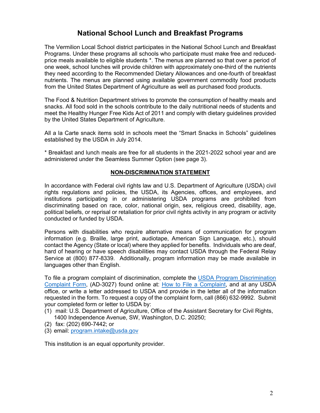## **National School Lunch and Breakfast Programs**

The Vermilion Local School district participates in the National School Lunch and Breakfast Programs. Under these programs all schools who participate must make free and reducedprice meals available to eligible students \*. The menus are planned so that over a period of one week, school lunches will provide children with approximately one-third of the nutrients they need according to the Recommended Dietary Allowances and one-fourth of breakfast nutrients. The menus are planned using available government commodity food products from the United States Department of Agriculture as well as purchased food products.

The Food & Nutrition Department strives to promote the consumption of healthy meals and snacks. All food sold in the schools contribute to the daily nutritional needs of students and meet the Healthy Hunger Free Kids Act of 2011 and comply with dietary guidelines provided by the United States Department of Agriculture.

All a la Carte snack items sold in schools meet the "Smart Snacks in Schools" guidelines established by the USDA in July 2014.

\* Breakfast and lunch meals are free for all students in the 2021-2022 school year and are administered under the Seamless Summer Option (see page 3).

#### **NON-DISCRIMINATION STATEMENT**

In accordance with Federal civil rights law and U.S. Department of Agriculture (USDA) civil rights regulations and policies, the USDA, its Agencies, offices, and employees, and institutions participating in or administering USDA programs are prohibited from discriminating based on race, color, national origin, sex, religious creed, disability, age, political beliefs, or reprisal or retaliation for prior civil rights activity in any program or activity conducted or funded by USDA.

Persons with disabilities who require alternative means of communication for program information (e.g. Braille, large print, audiotape, American Sign Language, etc.), should contact the Agency (State or local) where they applied for benefits. Individuals who are deaf, hard of hearing or have speech disabilities may contact USDA through the Federal Relay Service at (800) 877-8339. Additionally, program information may be made available in languages other than English.

To file a program complaint of discrimination, complete the USDA Program Discrimination Complaint Form, (AD-3027) found online at: How to File a Complaint, and at any USDA office, or write a letter addressed to USDA and provide in the letter all of the information requested in the form. To request a copy of the complaint form, call (866) 632-9992. Submit your completed form or letter to USDA by:

- (1) mail: U.S. Department of Agriculture, Office of the Assistant Secretary for Civil Rights, 1400 Independence Avenue, SW, Washington, D.C. 20250;
- (2) fax: (202) 690-7442; or
- (3) email: program.intake@usda.gov

This institution is an equal opportunity provider.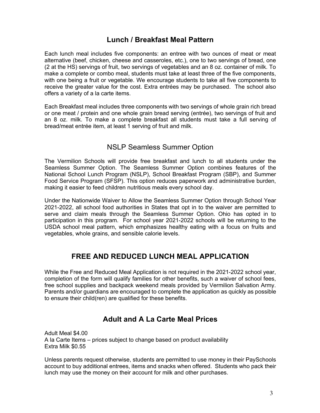## **Lunch / Breakfast Meal Pattern**

Each lunch meal includes five components: an entree with two ounces of meat or meat alternative (beef, chicken, cheese and casseroles, etc.), one to two servings of bread, one (2 at the HS) servings of fruit, two servings of vegetables and an 8 oz. container of milk. To make a complete or combo meal, students must take at least three of the five components, with one being a fruit or vegetable. We encourage students to take all five components to receive the greater value for the cost. Extra entrées may be purchased. The school also offers a variety of a la carte items.

Each Breakfast meal includes three components with two servings of whole grain rich bread or one meat / protein and one whole grain bread serving (entrée), two servings of fruit and an 8 oz. milk. To make a complete breakfast all students must take a full serving of bread/meat entrée item, at least 1 serving of fruit and milk.

## NSLP Seamless Summer Option

The Vermilion Schools will provide free breakfast and lunch to all students under the Seamless Summer Option. The Seamless Summer Option combines features of the National School Lunch Program (NSLP), School Breakfast Program (SBP), and Summer Food Service Program (SFSP). This option reduces paperwork and administrative burden, making it easier to feed children nutritious meals every school day.

Under the Nationwide Waiver to Allow the Seamless Summer Option through School Year 2021-2022, all school food authorities in States that opt in to the waiver are permitted to serve and claim meals through the Seamless Summer Option. Ohio has opted in to participation in this program. For school year 2021-2022 schools will be returning to the USDA school meal pattern, which emphasizes healthy eating with a focus on fruits and vegetables, whole grains, and sensible calorie levels.

## **FREE AND REDUCED LUNCH MEAL APPLICATION**

While the Free and Reduced Meal Application is not required in the 2021-2022 school year, completion of the form will qualify families for other benefits, such a waiver of school fees, free school supplies and backpack weekend meals provided by Vermilion Salvation Army. Parents and/or guardians are encouraged to complete the application as quickly as possible to ensure their child(ren) are qualified for these benefits.

## **Adult and A La Carte Meal Prices**

Adult Meal \$4.00 A la Carte Items – prices subject to change based on product availability Extra Milk \$0.55

Unless parents request otherwise, students are permitted to use money in their PaySchools account to buy additional entrees, items and snacks when offered. Students who pack their lunch may use the money on their account for milk and other purchases.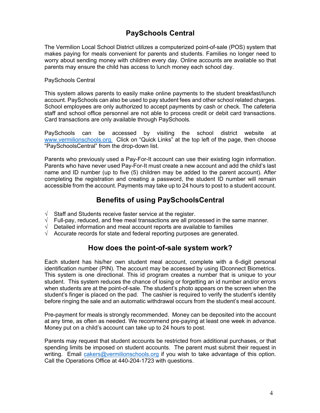## **PaySchools Central**

The Vermilion Local School District utilizes a computerized point-of-sale (POS) system that makes paying for meals convenient for parents and students. Families no longer need to worry about sending money with children every day. Online accounts are available so that parents may ensure the child has access to lunch money each school day.

#### PaySchools Central

This system allows parents to easily make online payments to the student breakfast/lunch account. PaySchools can also be used to pay student fees and other school related charges. School employees are only authorized to accept payments by cash or check. The cafeteria staff and school office personnel are not able to process credit or debit card transactions. Card transactions are only available through PaySchools.

PaySchools can be accessed by visiting the school district website at www.vermilionschools.org. Click on "Quick Links" at the top left of the page, then choose "PaySchoolsCentral" from the drop-down list.

Parents who previously used a Pay-For-It account can use their existing login information. Parents who have never used Pay-For-It must create a new account and add the child's last name and ID number (up to five (5) children may be added to the parent account). After completing the registration and creating a password, the student ID number will remain accessible from the account. Payments may take up to 24 hours to post to a student account.

## **Benefits of using PaySchoolsCentral**

- $\sqrt{\phantom{a}}$  Staff and Students receive faster service at the register.
- $\sqrt{\phantom{a}}$  Full-pay, reduced, and free meal transactions are all processed in the same manner.
- $\sqrt{\phantom{a}}$  Detailed information and meal account reports are available to families
- $\sqrt{\phantom{a}}$  Accurate records for state and federal reporting purposes are generated.

## **How does the point-of-sale system work?**

Each student has his/her own student meal account, complete with a 6-digit personal identification number (PIN). The account may be accessed by using IDconnect Biometrics. This system is one directional. This id program creates a number that is unique to your student. This system reduces the chance of losing or forgetting an id number and/or errors when students are at the point-of-sale. The student's photo appears on the screen when the student's finger is placed on the pad. The cashier is required to verify the student's identity before ringing the sale and an automatic withdrawal occurs from the student's meal account.

Pre-payment for meals is strongly recommended. Money can be deposited into the account at any time, as often as needed. We recommend pre-paying at least one week in advance. Money put on a child's account can take up to 24 hours to post.

Parents may request that student accounts be restricted from additional purchases, or that spending limits be imposed on student accounts. The parent must submit their request in writing. Email cakers@vermilionschools.org if you wish to take advantage of this option. Call the Operations Office at 440-204-1723 with questions.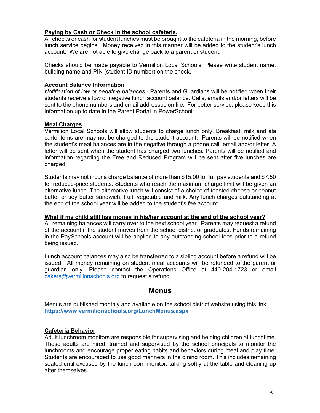#### **Paying by Cash or Check in the school cafeteria.**

All checks or cash for student lunches must be brought to the cafeteria in the morning, before lunch service begins. Money received in this manner will be added to the student's lunch account. We are not able to give change back to a parent or student.

Checks should be made payable to Vermilion Local Schools. Please write student name, building name and PIN (student ID number) on the check.

#### **Account Balance Information**

*Notification of low or negative balances* - Parents and Guardians will be notified when their students receive a low or negative lunch account balance. Calls, emails and/or letters will be sent to the phone numbers and email addresses on file. For better service, please keep this information up to date in the Parent Portal in PowerSchool.

#### **Meal Charges**

Vermilion Local Schools will allow students to charge lunch only. Breakfast, milk and ala carte items are may not be charged to the student account. Parents will be notified when the student's meal balances are in the negative through a phone call, email and/or letter. A letter will be sent when the student has charged two lunches. Parents will be notified and information regarding the Free and Reduced Program will be sent after five lunches are charged.

Students may not incur a charge balance of more than \$15.00 for full pay students and \$7.50 for reduced-price students. Students who reach the maximum charge limit will be given an alternative lunch. The alternative lunch will consist of a choice of toasted cheese or peanut butter or soy butter sandwich, fruit, vegetable and milk. Any lunch charges outstanding at the end of the school year will be added to the student's fee account.

#### **What if my child still has money in his/her account at the end of the school year?**

All remaining balances will carry over to the next school year. Parents may request a refund of the account if the student moves from the school district or graduates. Funds remaining in the PaySchools account will be applied to any outstanding school fees prior to a refund being issued.

Lunch account balances may also be transferred to a sibling account before a refund will be issued. All money remaining on student meal accounts will be refunded to the parent or guardian only. Please contact the Operations Office at 440-204-1723 or email cakers@vermilionschools.org to request a refund.

## **Menus**

Menus are published monthly and available on the school district website using this link: **https://www.vermilionschools.org/LunchMenus.aspx** 

#### **Cafeteria Behavior**

Adult lunchroom monitors are responsible for supervising and helping children at lunchtime. These adults are hired, trained and supervised by the school principals to monitor the lunchrooms and encourage proper eating habits and behaviors during meal and play time. Students are encouraged to use good manners in the dining room. This includes remaining seated until excused by the lunchroom monitor, talking softly at the table and cleaning up after themselves.